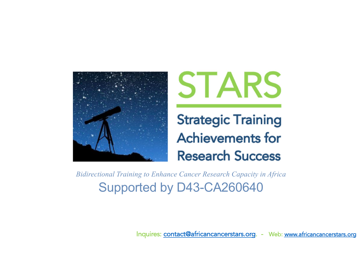



**Strategic Training Achievements for Research Success** 

Supported by D43-CA260640 *Bidirectional Training to Enhance Cancer Research Capacity in Africa*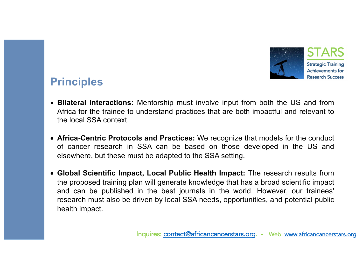

#### **Principles**

- **Bilateral Interactions:** Mentorship must involve input from both the US and from Africa for the trainee to understand practices that are both impactful and relevant to the local SSA context.
- **Africa-Centric Protocols and Practices:** We recognize that models for the conduct of cancer research in SSA can be based on those developed in the US and elsewhere, but these must be adapted to the SSA setting.
- **Global Scientific Impact, Local Public Health Impact:** The research results from the proposed training plan will generate knowledge that has a broad scientific impact and can be published in the best journals in the world. However, our trainees' research must also be driven by local SSA needs, opportunities, and potential public health impact.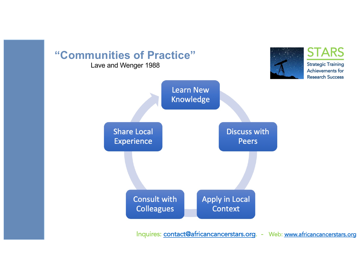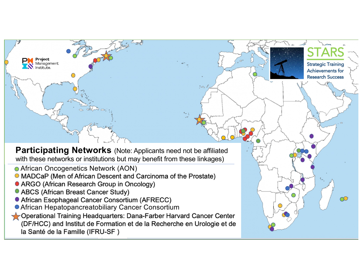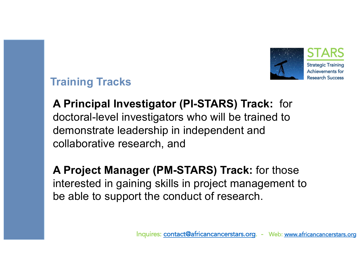

## **Training Tracks**

**A Principal Investigator (PI-STARS) Track:** for doctoral-level investigators who will be trained to demonstrate leadership in independent and collaborative research, and

**A Project Manager (PM-STARS) Track:** for those interested in gaining skills in project management to be able to support the conduct of research.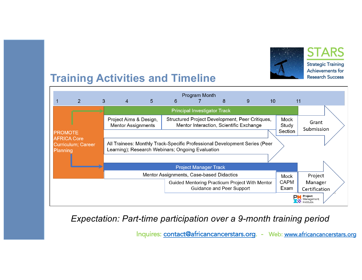

**STARS Strategic Training** Achievements for

# **Training Activities and Timeline**



*Expectation: Part-time participation over a 9-month training period*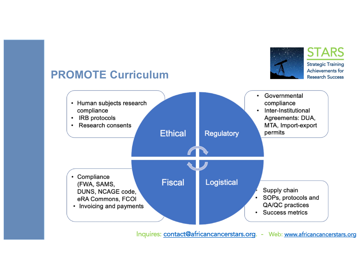

## **PROMOTE Curriculum**

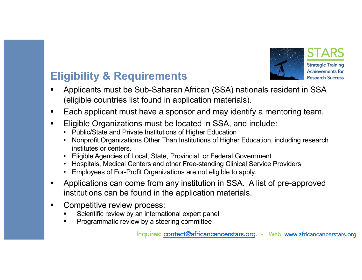

# **Eligibility & Requirements**

- § Applicants must be Sub-Saharan African (SSA) nationals resident in SSA (eligible countries list found in application materials).
- Each applicant must have a sponsor and may identify a mentoring team.
- Eligible Organizations must be located in SSA, and include:
	- Public/State and Private Institutions of Higher Education
	- Nonprofit Organizations Other Than Institutions of Higher Education, including research institutes or centers.
	- Eligible Agencies of Local, State, Provincial, or Federal Government
	- Hospitals, Medical Centers and other Free-standing Clinical Service Providers
	- Employees of For-Profit Organizations are not eligible to apply.
- § Applications can come from any institution in SSA. A list of pre-approved institutions can be found in the application materials.
- Competitive review process:
	- Scientific review by an international expert panel
	- § Programmatic review by a steering committee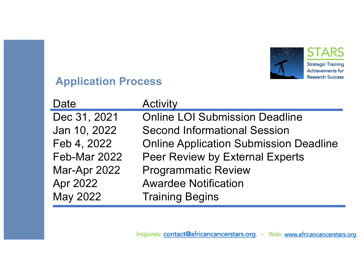

### **Application Process**

| Date         | <b>Activity</b>                               |
|--------------|-----------------------------------------------|
| Dec 31, 2021 | <b>Online LOI Submission Deadline</b>         |
| Jan 10, 2022 | <b>Second Informational Session</b>           |
| Feb 4, 2022  | <b>Online Application Submission Deadline</b> |
| Feb-Mar 2022 | <b>Peer Review by External Experts</b>        |
| Mar-Apr 2022 | <b>Programmatic Review</b>                    |
| Apr 2022     | <b>Awardee Notification</b>                   |
| May 2022     | <b>Training Begins</b>                        |